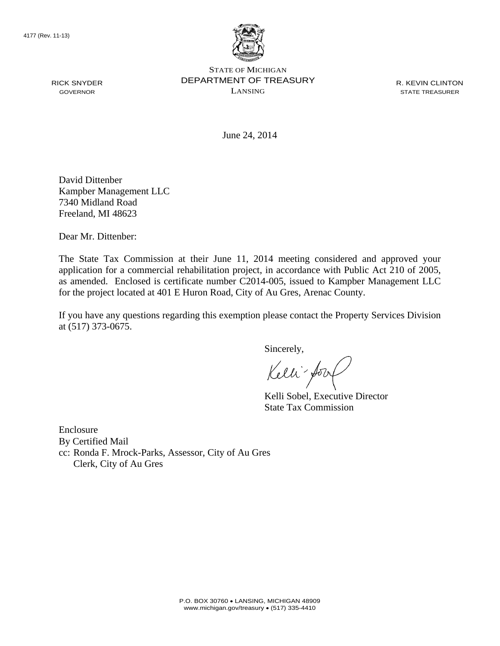RICK SNYDER GOVERNOR



STATE OF MICHIGAN DEPARTMENT OF TREASURY LANSING

R. KEVIN CLINTON STATE TREASURER

June 24, 2014

David Dittenber Kampber Management LLC 7340 Midland Road Freeland, MI 48623

Dear Mr. Dittenber:

The State Tax Commission at their June 11, 2014 meeting considered and approved your application for a commercial rehabilitation project, in accordance with Public Act 210 of 2005, as amended. Enclosed is certificate number C2014-005, issued to Kampber Management LLC for the project located at 401 E Huron Road, City of Au Gres, Arenac County.

If you have any questions regarding this exemption please contact the Property Services Division at (517) 373-0675.

Sincerely,

Kelli for

Kelli Sobel, Executive Director State Tax Commission

Enclosure By Certified Mail cc: Ronda F. Mrock-Parks, Assessor, City of Au Gres Clerk, City of Au Gres